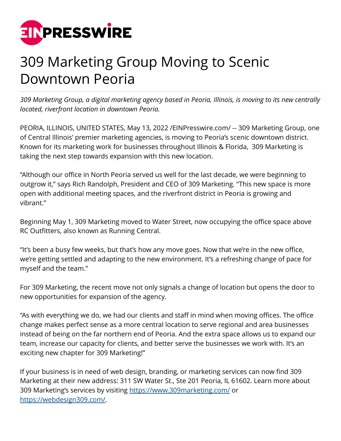

## 309 Marketing Group Moving to Scenic Downtown Peoria

*309 Marketing Group, a digital marketing agency based in Peoria, Illinois, is moving to its new centrally located, riverfront location in downtown Peoria.*

PEORIA, ILLINOIS, UNITED STATES, May 13, 2022 /[EINPresswire.com/](http://www.einpresswire.com) -- 309 Marketing Group, one of Central Illinois' premier marketing agencies, is moving to Peoria's scenic downtown district. Known for its marketing work for businesses throughout Illinois & Florida, 309 Marketing is taking the next step towards expansion with this new location.

"Although our office in North Peoria served us well for the last decade, we were beginning to outgrow it," says Rich Randolph, President and CEO of 309 Marketing. "This new space is more open with additional meeting spaces, and the riverfront district in Peoria is growing and vibrant."

Beginning May 1, 309 Marketing moved to Water Street, now occupying the office space above RC Outfitters, also known as Running Central.

"It's been a busy few weeks, but that's how any move goes. Now that we're in the new office, we're getting settled and adapting to the new environment. It's a refreshing change of pace for myself and the team."

For 309 Marketing, the recent move not only signals a change of location but opens the door to new opportunities for expansion of the agency.

"As with everything we do, we had our clients and staff in mind when moving offices. The office change makes perfect sense as a more central location to serve regional and area businesses instead of being on the far northern end of Peoria. And the extra space allows us to expand our team, increase our capacity for clients, and better serve the businesses we work with. It's an exciting new chapter for 309 Marketing!"

If your business is in need of web design, branding, or marketing services can now find 309 Marketing at their new address: 311 SW Water St., Ste 201 Peoria, IL 61602. Learn more about 309 Marketing's services by visiting<https://www.309marketing.com/> or <https://webdesign309.com/>.